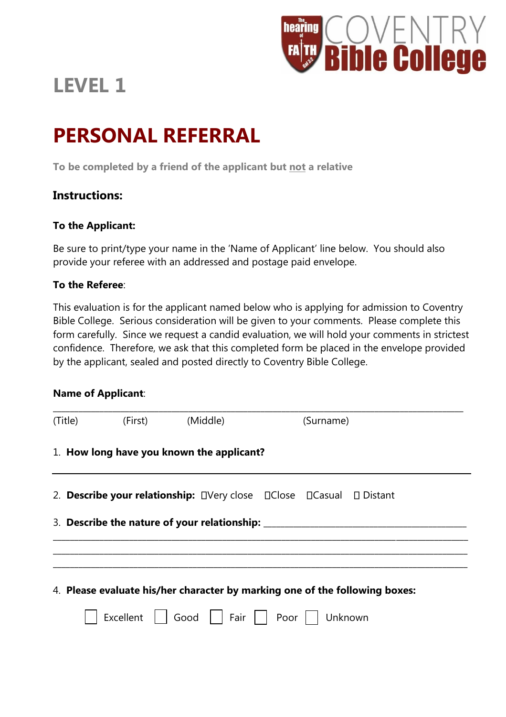

# **LEVEL 1**

# **PERSONAL REFERRAL**

**To be completed by a friend of the applicant but not a relative**

## **Instructions:**

## **To the Applicant:**

Be sure to print/type your name in the 'Name of Applicant' line below. You should also provide your referee with an addressed and postage paid envelope.

## **To the Referee**:

This evaluation is for the applicant named below who is applying for admission to Coventry Bible College. Serious consideration will be given to your comments. Please complete this form carefully. Since we request a candid evaluation, we will hold your comments in strictest confidence. Therefore, we ask that this completed form be placed in the envelope provided by the applicant, sealed and posted directly to Coventry Bible College.

#### **Name of Applicant**:

| (Title) | (First)   | (Middle)                                  | (Surname)                                                                        |
|---------|-----------|-------------------------------------------|----------------------------------------------------------------------------------|
|         |           | 1. How long have you known the applicant? |                                                                                  |
|         |           |                                           |                                                                                  |
|         |           |                                           | 3. Describe the nature of your relationship: ___________________________________ |
|         |           |                                           |                                                                                  |
|         |           |                                           | 4. Please evaluate his/her character by marking one of the following boxes:      |
|         | Excellent | Good                                      | Fair     Poor  <br>Unknown                                                       |
|         |           |                                           |                                                                                  |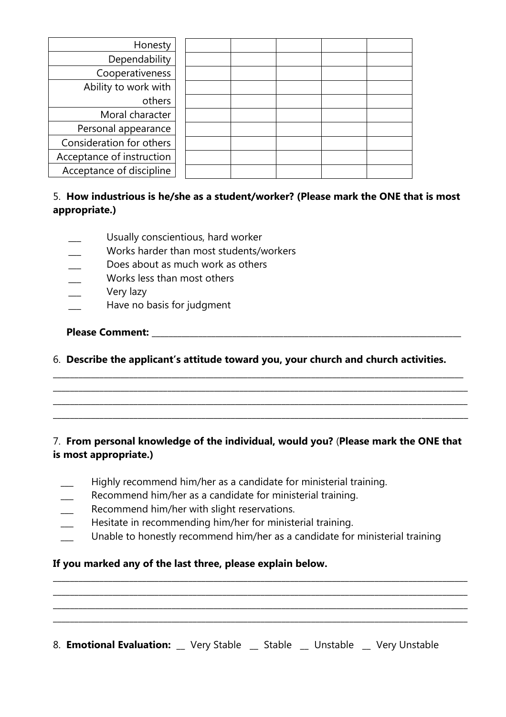| Honesty                   |  |  |  |
|---------------------------|--|--|--|
| Dependability             |  |  |  |
| Cooperativeness           |  |  |  |
| Ability to work with      |  |  |  |
| others                    |  |  |  |
| Moral character           |  |  |  |
| Personal appearance       |  |  |  |
| Consideration for others  |  |  |  |
| Acceptance of instruction |  |  |  |
| Acceptance of discipline  |  |  |  |

## 5. **How industrious is he/she as a student/worker? (Please mark the ONE that is most appropriate.)**

- Usually conscientious, hard worker
- Works harder than most students/workers
- **\_\_\_** Does about as much work as others
- **\_\_\_** Works less than most others
- **\_\_\_** Very lazy
- **\_\_\_** Have no basis for judgment

**Please Comment:** <u>and the set of the set of the set of the set of the set of the set of the set of the set of the set of the set of the set of the set of the set of the set of the set of the set of the set of the set of t</u>

6. **Describe the applicant's attitude toward you, your church and church activities.**

**\_\_\_\_\_\_\_\_\_\_\_\_\_\_\_\_\_\_\_\_\_\_\_\_\_\_\_\_\_\_\_\_\_\_\_\_\_\_\_\_\_\_\_\_\_\_\_\_\_\_\_\_\_\_\_\_\_\_\_\_\_\_\_\_\_\_\_\_\_\_\_\_\_\_\_\_\_\_\_\_\_\_\_\_\_\_\_\_\_\_\_\_\_\_\_\_\_** \_\_\_\_\_\_\_\_\_\_\_\_\_\_\_\_\_\_\_\_\_\_\_\_\_\_\_\_\_\_\_\_\_\_\_\_\_\_\_\_\_\_\_\_\_\_\_\_\_\_\_\_\_\_\_\_\_\_\_\_\_\_\_\_\_\_\_\_\_\_\_\_\_\_\_\_\_\_\_\_\_\_\_\_\_\_\_\_\_\_\_\_\_\_\_\_\_\_ \_\_\_\_\_\_\_\_\_\_\_\_\_\_\_\_\_\_\_\_\_\_\_\_\_\_\_\_\_\_\_\_\_\_\_\_\_\_\_\_\_\_\_\_\_\_\_\_\_\_\_\_\_\_\_\_\_\_\_\_\_\_\_\_\_\_\_\_\_\_\_\_\_\_\_\_\_\_\_\_\_\_\_\_\_\_\_\_\_\_\_\_\_\_\_\_\_\_ \_\_\_\_\_\_\_\_\_\_\_\_\_\_\_\_\_\_\_\_\_\_\_\_\_\_\_\_\_\_\_\_\_\_\_\_\_\_\_\_\_\_\_\_\_\_\_\_\_\_\_\_\_\_\_\_\_\_\_\_\_\_\_\_\_\_\_\_\_\_\_\_\_\_\_\_\_\_\_\_\_\_\_\_\_\_\_\_\_\_\_\_\_\_\_\_\_\_

## 7. **From personal knowledge of the individual, would you?** (**Please mark the ONE that is most appropriate.)**

- **\_\_\_** Highly recommend him/her as a candidate for ministerial training.
- **\_\_\_** Recommend him/her as a candidate for ministerial training.
- **\_\_\_** Recommend him/her with slight reservations.
- **\_\_\_** Hesitate in recommending him/her for ministerial training.
- **\_\_\_** Unable to honestly recommend him/her as a candidate for ministerial training

**\_\_\_\_\_\_\_\_\_\_\_\_\_\_\_\_\_\_\_\_\_\_\_\_\_\_\_\_\_\_\_\_\_\_\_\_\_\_\_\_\_\_\_\_\_\_\_\_\_\_\_\_\_\_\_\_\_\_\_\_\_\_\_\_\_\_\_\_\_\_\_\_\_\_\_\_\_\_\_\_\_\_\_\_\_\_\_\_\_\_\_\_\_\_\_\_\_\_ \_\_\_\_\_\_\_\_\_\_\_\_\_\_\_\_\_\_\_\_\_\_\_\_\_\_\_\_\_\_\_\_\_\_\_\_\_\_\_\_\_\_\_\_\_\_\_\_\_\_\_\_\_\_\_\_\_\_\_\_\_\_\_\_\_\_\_\_\_\_\_\_\_\_\_\_\_\_\_\_\_\_\_\_\_\_\_\_\_\_\_\_\_\_\_\_\_\_ \_\_\_\_\_\_\_\_\_\_\_\_\_\_\_\_\_\_\_\_\_\_\_\_\_\_\_\_\_\_\_\_\_\_\_\_\_\_\_\_\_\_\_\_\_\_\_\_\_\_\_\_\_\_\_\_\_\_\_\_\_\_\_\_\_\_\_\_\_\_\_\_\_\_\_\_\_\_\_\_\_\_\_\_\_\_\_\_\_\_\_\_\_\_\_\_\_\_ \_\_\_\_\_\_\_\_\_\_\_\_\_\_\_\_\_\_\_\_\_\_\_\_\_\_\_\_\_\_\_\_\_\_\_\_\_\_\_\_\_\_\_\_\_\_\_\_\_\_\_\_\_\_\_\_\_\_\_\_\_\_\_\_\_\_\_\_\_\_\_\_\_\_\_\_\_\_\_\_\_\_\_\_\_\_\_\_\_\_\_\_\_\_\_\_\_\_**

## **If you marked any of the last three, please explain below.**

8. **Emotional Evaluation:** \_\_ Very Stable **\_\_** Stable **\_\_** Unstable \_\_ Very Unstable